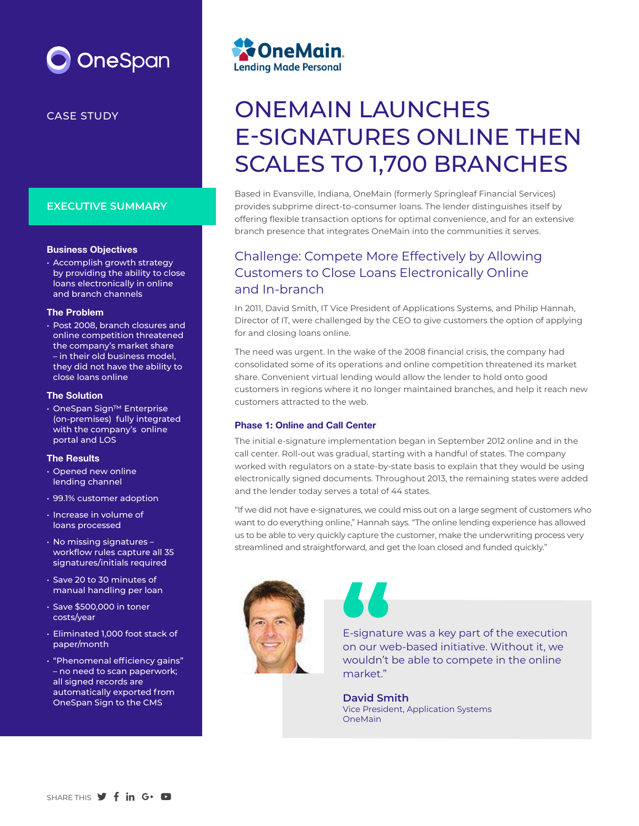# **OneSpan**

### **EXECUTIVE SUMMARY**

#### Business Objectives

• Accomplish growth strategy by providing the ability to close loans electronically in online and branch channels

#### The Problem

• Post 2008, branch closures and online competition threatened the company's market share – in their old business model, they did not have the ability to close loans online

#### The Solution

• OneSpan Sign™ Enterprise (on-premises) fully integrated with the company's online portal and LOS

#### The Results

- Opened new online lending channel
- 99.1% customer adoption
- Increase in volume of loans processed
- No missing signatures workflow rules capture all 35 signatures/initials required
- Save 20 to 30 minutes of manual handling per loan
- Save \$500,000 in toner costs/year
- Eliminated 1,000 foot stack of paper/month
- "Phenomenal efficiency gains" – no need to scan paperwork; all signed records are automatically exported from OneSpan Sign to the CMS



# CASE STUDY CASE STUDY E-SIGNATURES ONLINE THEN SCALES TO 1,700 BRANCHES

Based in Evansville, Indiana, OneMain (formerly Springleaf Financial Services) provides subprime direct-to-consumer loans. The lender distinguishes itself by offering flexible transaction options for optimal convenience, and for an extensive branch presence that integrates OneMain into the communities it serves.

## Challenge: Compete More Effectively by Allowing Customers to Close Loans Electronically Online and In-branch

In 2011, David Smith, IT Vice President of Applications Systems, and Philip Hannah, Director of IT, were challenged by the CEO to give customers the option of applying for and closing loans online.

The need was urgent. In the wake of the 2008 financial crisis, the company had consolidated some of its operations and online competition threatened its market share. Convenient virtual lending would allow the lender to hold onto good customers in regions where it no longer maintained branches, and help it reach new customers attracted to the web.

#### Phase 1: Online and Call Center

The initial e-signature implementation began in September 2012 online and in the call center. Roll-out was gradual, starting with a handful of states. The company worked with regulators on a state-by-state basis to explain that they would be using electronically signed documents. Throughout 2013, the remaining states were added and the lender today serves a total of 44 states.

"If we did not have e-signatures, we could miss out on a large segment of customers who want to do everything online," Hannah says. "The online lending experience has allowed us to be able to very quickly capture the customer, make the underwriting process very streamlined and straightforward, and get the loan closed and funded quickly."



E-signature was a key part of the execution on our web-based initiative. Without it, we wouldn't be able to compete in the online market" E-signatu<br>
on our we<br>
wouldn't<br>
market."

**David Smith** Vice President, Application Systems OneMain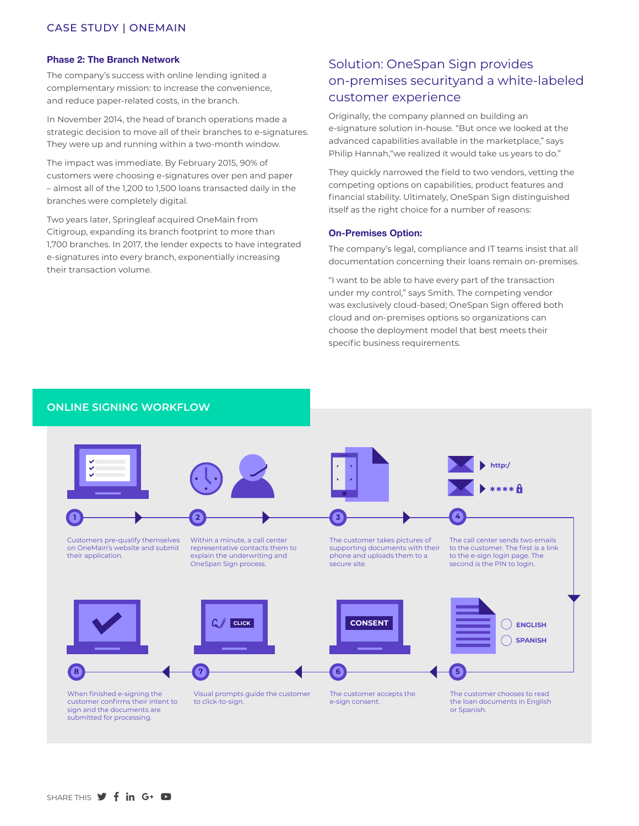#### Phase 2: The Branch Network

The company's success with online lending ignited a complementary mission: to increase the convenience, and reduce paper-related costs, in the branch.

In November 2014, the head of branch operations made a strategic decision to move all of their branches to e-signatures. They were up and running within a two-month window.

The impact was immediate. By February 2015, 90% of customers were choosing e-signatures over pen and paper – almost all of the 1,200 to 1,500 loans transacted daily in the branches were completely digital.

Two years later, Springleaf acquired OneMain from Citigroup, expanding its branch footprint to more than 1,700 branches. In 2017, the lender expects to have integrated e-signatures into every branch, exponentially increasing their transaction volume.

## Solution: OneSpan Sign provides on-premises securityand a white-labeled customer experience

Originally, the company planned on building an e-signature solution in-house. "But once we looked at the advanced capabilities available in the marketplace," says Philip Hannah,"we realized it would take us years to do."

They quickly narrowed the field to two vendors, vetting the competing options on capabilities, product features and financial stability. Ultimately, OneSpan Sign distinguished itself as the right choice for a number of reasons:

#### On-Premises Option:

The company's legal, compliance and IT teams insist that all documentation concerning their loans remain on-premises.

"I want to be able to have every part of the transaction under my control," says Smith. The competing vendor was exclusively cloud-based; OneSpan Sign offered both cloud and on-premises options so organizations can choose the deployment model that best meets their specific business requirements.



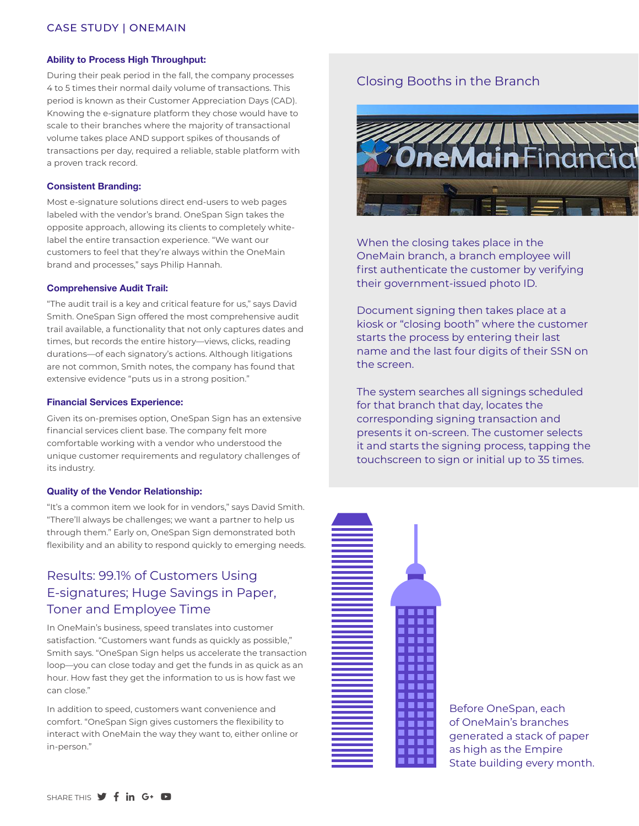#### Ability to Process High Throughput:

During their peak period in the fall, the company processes 4 to 5 times their normal daily volume of transactions. This period is known as their Customer Appreciation Days (CAD). Knowing the e-signature platform they chose would have to scale to their branches where the majority of transactional volume takes place AND support spikes of thousands of transactions per day, required a reliable, stable platform with a proven track record.

#### Consistent Branding:

Most e-signature solutions direct end-users to web pages labeled with the vendor's brand. OneSpan Sign takes the opposite approach, allowing its clients to completely whitelabel the entire transaction experience. "We want our customers to feel that they're always within the OneMain brand and processes," says Philip Hannah.

#### Comprehensive Audit Trail:

"The audit trail is a key and critical feature for us," says David Smith. OneSpan Sign offered the most comprehensive audit trail available, a functionality that not only captures dates and times, but records the entire history—views, clicks, reading durations—of each signatory's actions. Although litigations are not common, Smith notes, the company has found that extensive evidence "puts us in a strong position."

#### Financial Services Experience:

Given its on-premises option, OneSpan Sign has an extensive financial services client base. The company felt more comfortable working with a vendor who understood the unique customer requirements and regulatory challenges of its industry.

#### Quality of the Vendor Relationship:

"It's a common item we look for in vendors," says David Smith. "There'll always be challenges; we want a partner to help us through them." Early on, OneSpan Sign demonstrated both flexibility and an ability to respond quickly to emerging needs.

## Results: 99.1% of Customers Using E-signatures; Huge Savings in Paper, Toner and Employee Time

In OneMain's business, speed translates into customer satisfaction. "Customers want funds as quickly as possible," Smith says. "OneSpan Sign helps us accelerate the transaction loop—you can close today and get the funds in as quick as an hour. How fast they get the information to us is how fast we can close."

In addition to speed, customers want convenience and comfort. "OneSpan Sign gives customers the flexibility to interact with OneMain the way they want to, either online or in-person."

## Closing Booths in the Branch



When the closing takes place in the OneMain branch, a branch employee will first authenticate the customer by verifying their government-issued photo ID.

Document signing then takes place at a kiosk or "closing booth" where the customer starts the process by entering their last name and the last four digits of their SSN on the screen.

The system searches all signings scheduled for that branch that day, locates the corresponding signing transaction and presents it on-screen. The customer selects it and starts the signing process, tapping the touchscreen to sign or initial up to 35 times.



Before OneSpan, each of OneMain's branches generated a stack of paper as high as the Empire State building every month.